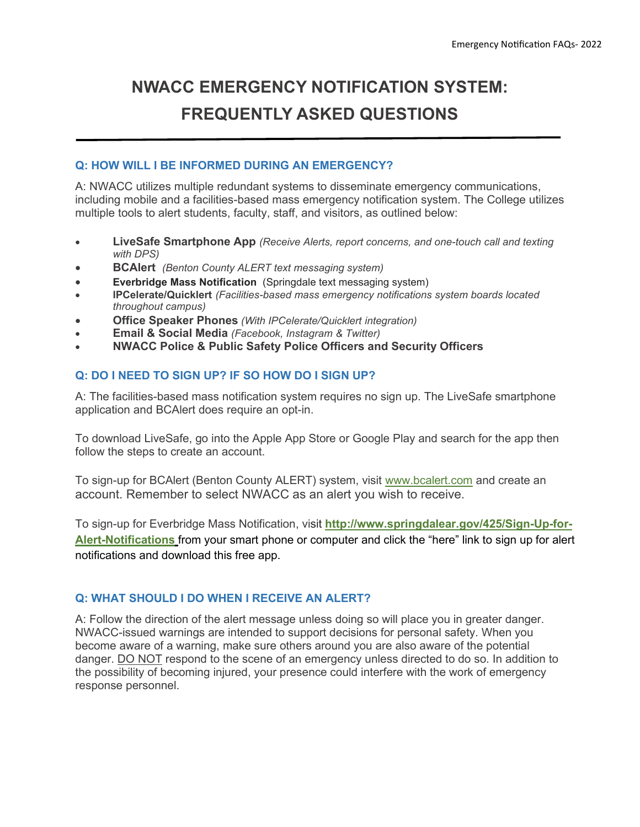# **NWACC EMERGENCY NOTIFICATION SYSTEM: FREQUENTLY ASKED QUESTIONS**

## **Q: HOW WILL I BE INFORMED DURING AN EMERGENCY?**

A: NWACC utilizes multiple redundant systems to disseminate emergency communications, including mobile and a facilities-based mass emergency notification system. The College utilizes multiple tools to alert students, faculty, staff, and visitors, as outlined below:

- **LiveSafe Smartphone App** *(Receive Alerts, report concerns, and one-touch call and texting with DPS)*
- **BCAlert** *(Benton County ALERT text messaging system)*
- **Everbridge Mass Notification** (Springdale text messaging system)
- **IPCelerate/Quicklert** *(Facilities-based mass emergency notifications system boards located throughout campus)*
- **Office Speaker Phones** *(With IPCelerate/Quicklert integration)*
- **Email & Social Media** *(Facebook, Instagram & Twitter)*
- **NWACC Police & Public Safety Police Officers and Security Officers**

## **Q: DO I NEED TO SIGN UP? IF SO HOW DO I SIGN UP?**

A: The facilities-based mass notification system requires no sign up. The LiveSafe smartphone application and BCAlert does require an opt-in.

To download LiveSafe, go into the Apple App Store or Google Play and search for the app then follow the steps to create an account.

To sign-up for BCAlert (Benton County ALERT) system, visit [www.bcalert.com](http://www.bcalert.com/) and create an account. Remember to select NWACC as an alert you wish to receive.

To sign-up for Everbridge Mass Notification, visit **[http://www.springdalear.gov/425/Sign-Up-for-](http://www.springdalear.gov/425/Sign-Up-for-Alert-Notifications)[Alert-Notifications](http://www.springdalear.gov/425/Sign-Up-for-Alert-Notifications)** from your smart phone or computer and click the "here" link to sign up for alert notifications and download this free app.

## **Q: WHAT SHOULD I DO WHEN I RECEIVE AN ALERT?**

A: Follow the direction of the alert message unless doing so will place you in greater danger. NWACC-issued warnings are intended to support decisions for personal safety. When you become aware of a warning, make sure others around you are also aware of the potential danger. DO NOT respond to the scene of an emergency unless directed to do so. In addition to the possibility of becoming injured, your presence could interfere with the work of emergency response personnel.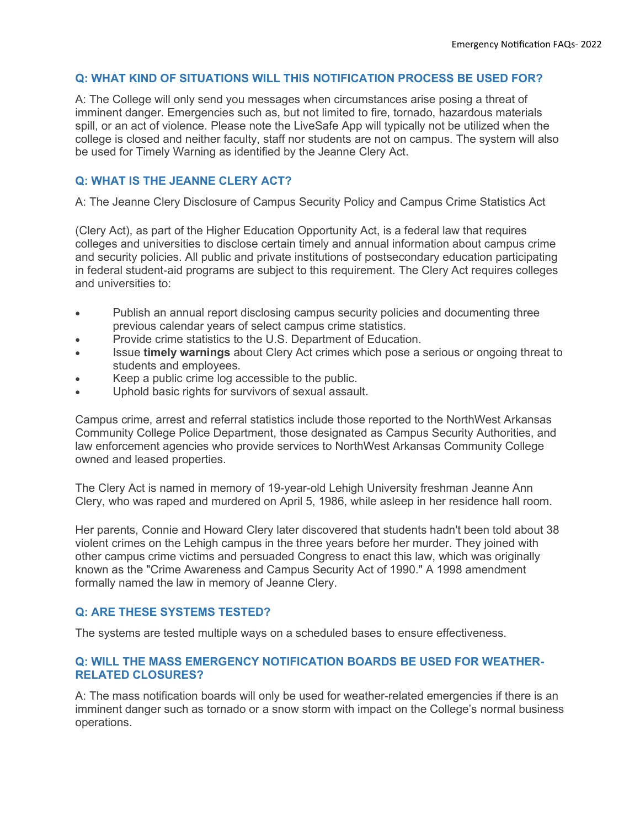#### **Q: WHAT KIND OF SITUATIONS WILL THIS NOTIFICATION PROCESS BE USED FOR?**

A: The College will only send you messages when circumstances arise posing a threat of imminent danger. Emergencies such as, but not limited to fire, tornado, hazardous materials spill, or an act of violence. Please note the LiveSafe App will typically not be utilized when the college is closed and neither faculty, staff nor students are not on campus. The system will also be used for Timely Warning as identified by the Jeanne Clery Act.

## **Q: WHAT IS THE JEANNE CLERY ACT?**

A: The Jeanne Clery Disclosure of Campus Security Policy and Campus Crime Statistics Act

(Clery Act), as part of the Higher Education Opportunity Act, is a federal law that requires colleges and universities to disclose certain timely and annual information about campus crime and security policies. All public and private institutions of postsecondary education participating in federal student-aid programs are subject to this requirement. The Clery Act requires colleges and universities to:

- Publish an annual report disclosing campus security policies and documenting three previous calendar years of select campus crime statistics.
- Provide crime statistics to the U.S. Department of Education.
- Issue **timely warnings** about Clery Act crimes which pose a serious or ongoing threat to students and employees.
- Keep a public crime log accessible to the public.
- Uphold basic rights for survivors of sexual assault.

Campus crime, arrest and referral statistics include those reported to the NorthWest Arkansas Community College Police Department, those designated as Campus Security Authorities, and law enforcement agencies who provide services to NorthWest Arkansas Community College owned and leased properties.

The Clery Act is named in memory of 19-year-old Lehigh University freshman Jeanne Ann Clery, who was raped and murdered on April 5, 1986, while asleep in her residence hall room.

Her parents, Connie and Howard Clery later discovered that students hadn't been told about 38 violent crimes on the Lehigh campus in the three years before her murder. They joined with other campus crime victims and persuaded Congress to enact this law, which was originally known as the "Crime Awareness and Campus Security Act of 1990." A 1998 amendment formally named the law in memory of Jeanne Clery.

#### **Q: ARE THESE SYSTEMS TESTED?**

The systems are tested multiple ways on a scheduled bases to ensure effectiveness.

#### **Q: WILL THE MASS EMERGENCY NOTIFICATION BOARDS BE USED FOR WEATHER-RELATED CLOSURES?**

A: The mass notification boards will only be used for weather-related emergencies if there is an imminent danger such as tornado or a snow storm with impact on the College's normal business operations.